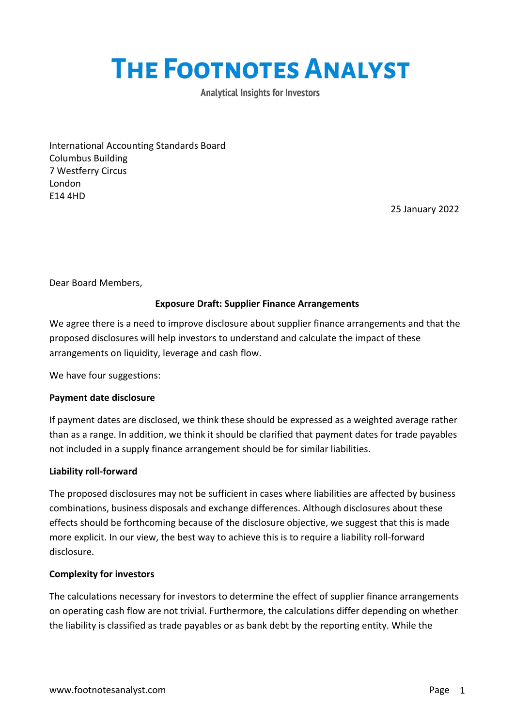# **THE FOOTNOTES ANALYST**

**Analytical Insights for Investors** 

International Accounting Standards Board Columbus Building 7 Westferry Circus London E14 4HD

25 January 2022

Dear Board Members,

# **Exposure Draft: Supplier Finance Arrangements**

We agree there is a need to improve disclosure about supplier finance arrangements and that the proposed disclosures will help investors to understand and calculate the impact of these arrangements on liquidity, leverage and cash flow.

We have four suggestions:

## **Payment date disclosure**

If payment dates are disclosed, we think these should be expressed as a weighted average rather than as a range. In addition, we think it should be clarified that payment dates for trade payables not included in a supply finance arrangement should be for similar liabilities.

## **Liability roll-forward**

The proposed disclosures may not be sufficient in cases where liabilities are affected by business combinations, business disposals and exchange differences. Although disclosures about these effects should be forthcoming because of the disclosure objective, we suggest that this is made more explicit. In our view, the best way to achieve this is to require a liability roll-forward disclosure.

## **Complexity for investors**

The calculations necessary for investors to determine the effect of supplier finance arrangements on operating cash flow are not trivial. Furthermore, the calculations differ depending on whether the liability is classified as trade payables or as bank debt by the reporting entity. While the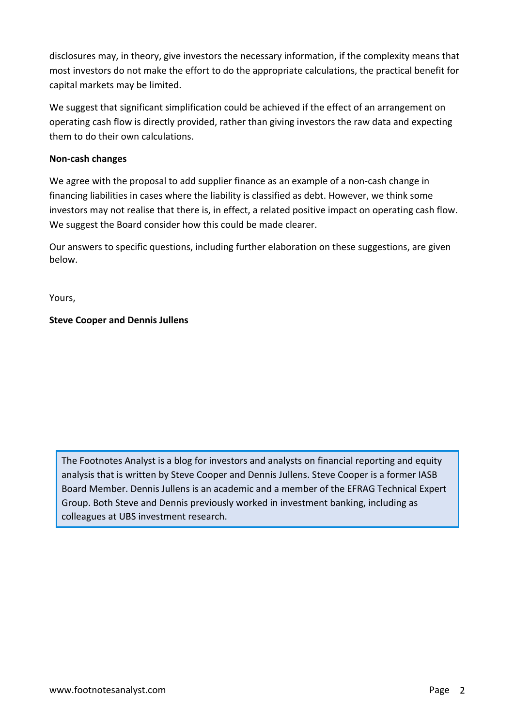disclosures may, in theory, give investors the necessary information, if the complexity means that most investors do not make the effort to do the appropriate calculations, the practical benefit for capital markets may be limited.

We suggest that significant simplification could be achieved if the effect of an arrangement on operating cash flow is directly provided, rather than giving investors the raw data and expecting them to do their own calculations.

# **Non-cash changes**

We agree with the proposal to add supplier finance as an example of a non-cash change in financing liabilities in cases where the liability is classified as debt. However, we think some investors may not realise that there is, in effect, a related positive impact on operating cash flow. We suggest the Board consider how this could be made clearer.

Our answers to specific questions, including further elaboration on these suggestions, are given below.

Yours,

# **Steve Cooper and Dennis Jullens**

The Footnotes Analyst is a blog for investors and analysts on financial reporting and equity analysis that is written by Steve Cooper and Dennis Jullens. Steve Cooper is a former IASB Board Member. Dennis Jullens is an academic and a member of the EFRAG Technical Expert Group. Both Steve and Dennis previously worked in investment banking, including as colleagues at UBS investment research.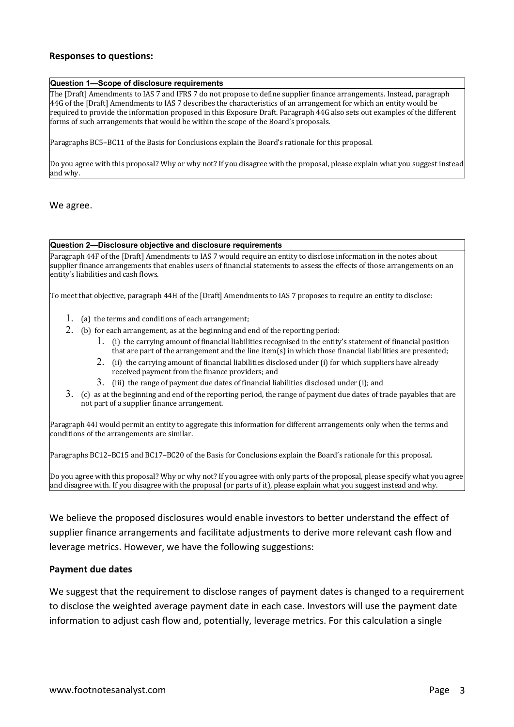### **Responses to questions:**

#### **Question 1—Scope of disclosure requirements**

The [Draft] Amendments to IAS 7 and IFRS 7 do not propose to define supplier finance arrangements. Instead, paragraph 44G of the [Draft] Amendments to IAS 7 describes the characteristics of an arrangement for which an entity would be required to provide the information proposed in this Exposure Draft. Paragraph  $\overline{4}4$ G also sets out examples of the different forms of such arrangements that would be within the scope of the Board's proposals.

Paragraphs BC5–BC11 of the Basis for Conclusions explain the Board's rationale for this proposal.

Do you agree with this proposal? Why or why not? If you disagree with the proposal, please explain what you suggest instead and why.

We agree.

#### **Question 2—Disclosure objective and disclosure requirements**

Paragraph 44F of the [Draft] Amendments to IAS 7 would require an entity to disclose information in the notes about supplier finance arrangements that enables users of financial statements to assess the effects of those arrangements on an entity's liabilities and cash flows.

To meet that objective, paragraph 44H of the [Draft] Amendments to IAS 7 proposes to require an entity to disclose:

- 1. (a) the terms and conditions of each arrangement;
- 2. (b) for each arrangement, as at the beginning and end of the reporting period:
	- 1. (i) the carrying amount of financial liabilities recognised in the entity's statement of financial position that are part of the arrangement and the line item(s) in which those financial liabilities are presented;
	- 2. (ii) the carrying amount of financial liabilities disclosed under (i) for which suppliers have already received payment from the finance providers; and
	- 3. (iii) the range of payment due dates of financial liabilities disclosed under (i); and
- 3. (c) as at the beginning and end of the reporting period, the range of payment due dates of trade payables that are not part of a supplier finance arrangement.

Paragraph 44I would permit an entity to aggregate this information for different arrangements only when the terms and conditions of the arrangements are similar.

Paragraphs BC12–BC15 and BC17–BC20 of the Basis for Conclusions explain the Board's rationale for this proposal.

Do you agree with this proposal? Why or why not? If you agree with only parts of the proposal, please specify what you agree and disagree with. If you disagree with the proposal (or parts of it), please explain what you suggest instead and why.

We believe the proposed disclosures would enable investors to better understand the effect of supplier finance arrangements and facilitate adjustments to derive more relevant cash flow and leverage metrics. However, we have the following suggestions:

#### **Payment due dates**

We suggest that the requirement to disclose ranges of payment dates is changed to a requirement to disclose the weighted average payment date in each case. Investors will use the payment date information to adjust cash flow and, potentially, leverage metrics. For this calculation a single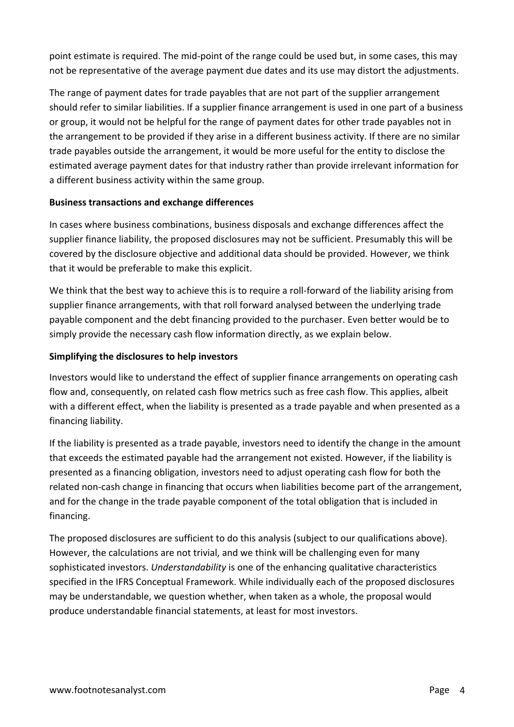point estimate is required. The mid-point of the range could be used but, in some cases, this may not be representative of the average payment due dates and its use may distort the adjustments.

The range of payment dates for trade payables that are not part of the supplier arrangement should refer to similar liabilities. If a supplier finance arrangement is used in one part of a business or group, it would not be helpful for the range of payment dates for other trade payables not in the arrangement to be provided if they arise in a different business activity. If there are no similar trade payables outside the arrangement, it would be more useful for the entity to disclose the estimated average payment dates for that industry rather than provide irrelevant information for a different business activity within the same group.

## **Business transactions and exchange differences**

In cases where business combinations, business disposals and exchange differences affect the supplier finance liability, the proposed disclosures may not be sufficient. Presumably this will be covered by the disclosure objective and additional data should be provided. However, we think that it would be preferable to make this explicit.

We think that the best way to achieve this is to require a roll-forward of the liability arising from supplier finance arrangements, with that roll forward analysed between the underlying trade payable component and the debt financing provided to the purchaser. Even better would be to simply provide the necessary cash flow information directly, as we explain below.

## **Simplifying the disclosures to help investors**

Investors would like to understand the effect of supplier finance arrangements on operating cash flow and, consequently, on related cash flow metrics such as free cash flow. This applies, albeit with a different effect, when the liability is presented as a trade payable and when presented as a financing liability.

If the liability is presented as a trade payable, investors need to identify the change in the amount that exceeds the estimated payable had the arrangement not existed. However, if the liability is presented as a financing obligation, investors need to adjust operating cash flow for both the related non-cash change in financing that occurs when liabilities become part of the arrangement, and for the change in the trade payable component of the total obligation that is included in financing.

The proposed disclosures are sufficient to do this analysis (subject to our qualifications above). However, the calculations are not trivial, and we think will be challenging even for many sophisticated investors. *Understandability* is one of the enhancing qualitative characteristics specified in the IFRS Conceptual Framework. While individually each of the proposed disclosures may be understandable, we question whether, when taken as a whole, the proposal would produce understandable financial statements, at least for most investors.